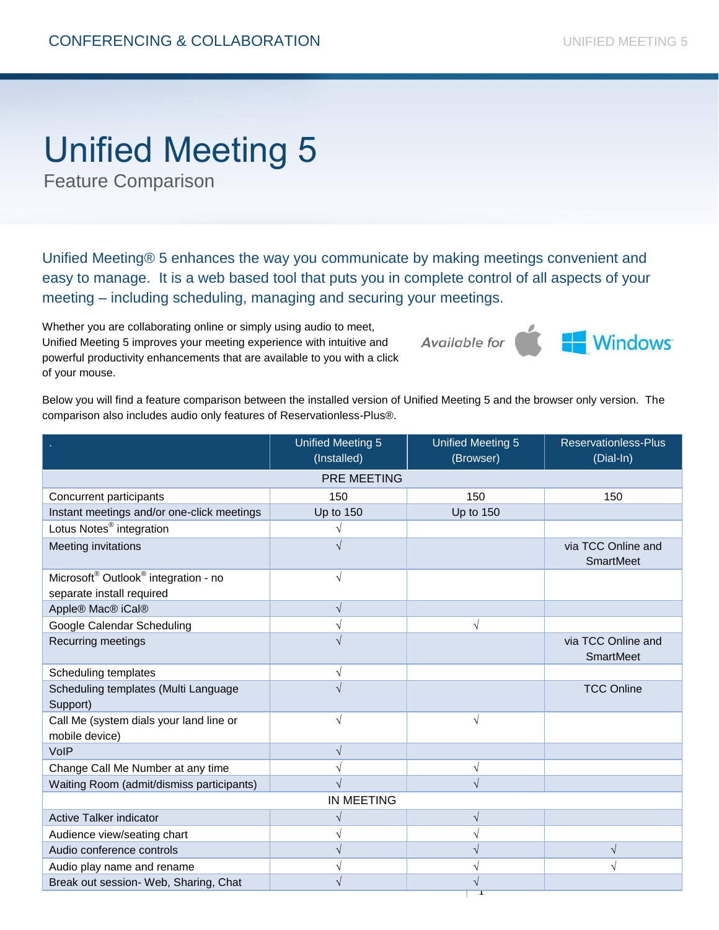## Unified Meeting 5

Feature Comparison

Unified Meeting® 5 enhances the way you communicate by making meetings convenient and easy to manage. It is a web based tool that puts you in complete control of all aspects of your meeting – including scheduling, managing and securing your meetings.

Whether you are collaborating online or simply using audio to meet, Unified Meeting 5 improves your meeting experience with intuitive and powerful productivity enhancements that are available to you with a click of your mouse.



Below you will find a feature comparison between the installed version of Unified Meeting 5 and the browser only version. The comparison also includes audio only features of Reservationless-Plus®.

|                                                              | <b>Unified Meeting 5</b><br>(Installed) | <b>Unified Meeting 5</b><br>(Browser) | <b>Reservationless-Plus</b><br>(Dial-In) |  |
|--------------------------------------------------------------|-----------------------------------------|---------------------------------------|------------------------------------------|--|
| PRE MEETING                                                  |                                         |                                       |                                          |  |
| Concurrent participants                                      | 150                                     | 150                                   | 150                                      |  |
| Instant meetings and/or one-click meetings                   | <b>Up to 150</b>                        | <b>Up to 150</b>                      |                                          |  |
| Lotus Notes <sup>®</sup> integration                         |                                         |                                       |                                          |  |
| Meeting invitations                                          | V                                       |                                       | via TCC Online and<br>SmartMeet          |  |
| Microsoft <sup>®</sup> Outlook <sup>®</sup> integration - no | $\sqrt{ }$                              |                                       |                                          |  |
| separate install required                                    |                                         |                                       |                                          |  |
| Apple® Mac® iCal®                                            | $\sqrt{}$                               |                                       |                                          |  |
| Google Calendar Scheduling                                   | $\sqrt{}$                               | $\sqrt{ }$                            |                                          |  |
| Recurring meetings                                           | N                                       |                                       | via TCC Online and<br>SmartMeet          |  |
| Scheduling templates                                         | V                                       |                                       |                                          |  |
| Scheduling templates (Multi Language<br>Support)             | N                                       |                                       | <b>TCC Online</b>                        |  |
| Call Me (system dials your land line or<br>mobile device)    | $\sqrt{ }$                              | $\sqrt{}$                             |                                          |  |
| VoIP                                                         | $\sqrt{}$                               |                                       |                                          |  |
| Change Call Me Number at any time                            | V                                       | ٦                                     |                                          |  |
| Waiting Room (admit/dismiss participants)                    | ٦                                       |                                       |                                          |  |
| IN MEETING                                                   |                                         |                                       |                                          |  |
| Active Talker indicator                                      | $\sqrt{}$                               | $\sqrt{}$                             |                                          |  |
| Audience view/seating chart                                  | ٦                                       |                                       |                                          |  |
| Audio conference controls                                    | V                                       | V                                     | $\mathcal{N}$                            |  |
| Audio play name and rename                                   | V                                       |                                       | $\sqrt{}$                                |  |
| Break out session- Web, Sharing, Chat                        | V                                       | ٦                                     |                                          |  |